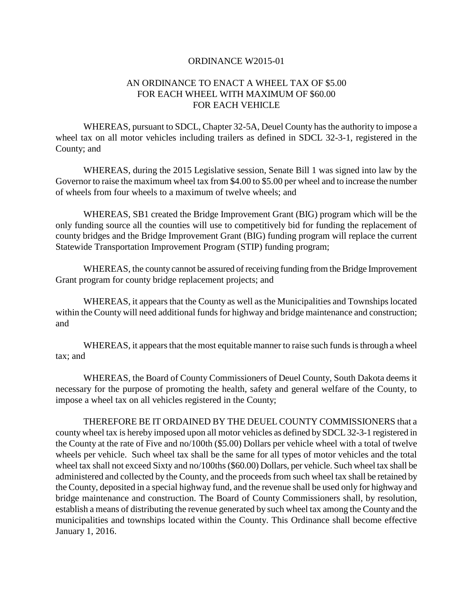## ORDINANCE W2015-01

## AN ORDINANCE TO ENACT A WHEEL TAX OF \$5.00 FOR EACH WHEEL WITH MAXIMUM OF \$60.00 FOR EACH VEHICLE

WHEREAS, pursuant to SDCL, Chapter 32-5A, Deuel County has the authority to impose a wheel tax on all motor vehicles including trailers as defined in SDCL 32-3-1, registered in the County; and

WHEREAS, during the 2015 Legislative session, Senate Bill 1 was signed into law by the Governor to raise the maximum wheel tax from \$4.00 to \$5.00 per wheel and to increase the number of wheels from four wheels to a maximum of twelve wheels; and

WHEREAS, SB1 created the Bridge Improvement Grant (BIG) program which will be the only funding source all the counties will use to competitively bid for funding the replacement of county bridges and the Bridge Improvement Grant (BIG) funding program will replace the current Statewide Transportation Improvement Program (STIP) funding program;

WHEREAS, the county cannot be assured of receiving funding from the Bridge Improvement Grant program for county bridge replacement projects; and

WHEREAS, it appears that the County as well as the Municipalities and Townships located within the County will need additional funds for highway and bridge maintenance and construction; and

WHEREAS, it appears that the most equitable manner to raise such funds is through a wheel tax; and

WHEREAS, the Board of County Commissioners of Deuel County, South Dakota deems it necessary for the purpose of promoting the health, safety and general welfare of the County, to impose a wheel tax on all vehicles registered in the County;

THEREFORE BE IT ORDAINED BY THE DEUEL COUNTY COMMISSIONERS that a county wheel tax is hereby imposed upon all motor vehicles as defined by SDCL 32-3-1 registered in the County at the rate of Five and no/100th (\$5.00) Dollars per vehicle wheel with a total of twelve wheels per vehicle. Such wheel tax shall be the same for all types of motor vehicles and the total wheel tax shall not exceed Sixty and no/100ths (\$60.00) Dollars, per vehicle. Such wheel tax shall be administered and collected by the County, and the proceeds from such wheel tax shall be retained by the County, deposited in a special highway fund, and the revenue shall be used only for highway and bridge maintenance and construction. The Board of County Commissioners shall, by resolution, establish a means of distributing the revenue generated by such wheel tax among the County and the municipalities and townships located within the County. This Ordinance shall become effective January 1, 2016.